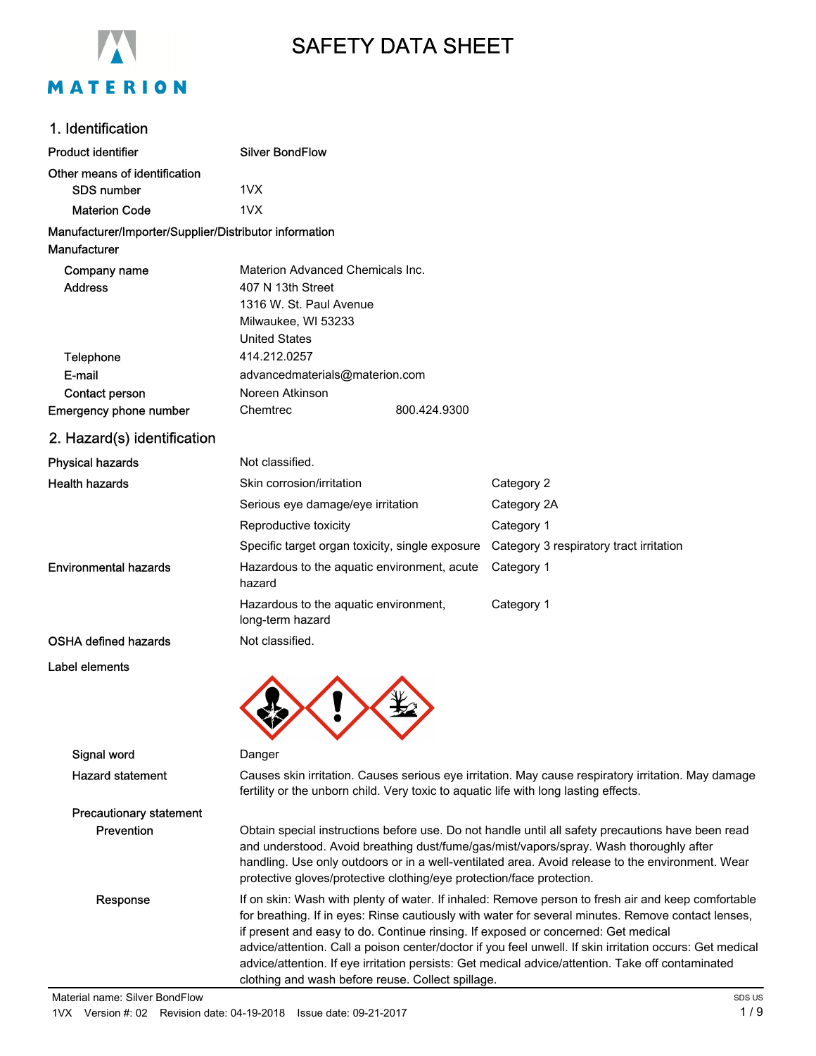

# SAFETY DATA SHEET

# 1. Identification

| 1. IUVIIIIIVAIVII                                                      |                                                                                                                                                                                                                                                                                                                                                                          |                                                 |                                                                                                                                                                                                                                                                                               |  |  |  |
|------------------------------------------------------------------------|--------------------------------------------------------------------------------------------------------------------------------------------------------------------------------------------------------------------------------------------------------------------------------------------------------------------------------------------------------------------------|-------------------------------------------------|-----------------------------------------------------------------------------------------------------------------------------------------------------------------------------------------------------------------------------------------------------------------------------------------------|--|--|--|
| <b>Product identifier</b>                                              | <b>Silver BondFlow</b>                                                                                                                                                                                                                                                                                                                                                   |                                                 |                                                                                                                                                                                                                                                                                               |  |  |  |
| Other means of identification                                          |                                                                                                                                                                                                                                                                                                                                                                          |                                                 |                                                                                                                                                                                                                                                                                               |  |  |  |
| <b>SDS number</b>                                                      | 1VX                                                                                                                                                                                                                                                                                                                                                                      |                                                 |                                                                                                                                                                                                                                                                                               |  |  |  |
| <b>Materion Code</b>                                                   | 1VX                                                                                                                                                                                                                                                                                                                                                                      |                                                 |                                                                                                                                                                                                                                                                                               |  |  |  |
| Manufacturer/Importer/Supplier/Distributor information<br>Manufacturer |                                                                                                                                                                                                                                                                                                                                                                          |                                                 |                                                                                                                                                                                                                                                                                               |  |  |  |
| Company name                                                           | Materion Advanced Chemicals Inc.                                                                                                                                                                                                                                                                                                                                         |                                                 |                                                                                                                                                                                                                                                                                               |  |  |  |
| <b>Address</b>                                                         | 407 N 13th Street                                                                                                                                                                                                                                                                                                                                                        |                                                 |                                                                                                                                                                                                                                                                                               |  |  |  |
|                                                                        | 1316 W. St. Paul Avenue                                                                                                                                                                                                                                                                                                                                                  |                                                 |                                                                                                                                                                                                                                                                                               |  |  |  |
|                                                                        | Milwaukee, WI 53233                                                                                                                                                                                                                                                                                                                                                      |                                                 |                                                                                                                                                                                                                                                                                               |  |  |  |
|                                                                        | <b>United States</b>                                                                                                                                                                                                                                                                                                                                                     |                                                 |                                                                                                                                                                                                                                                                                               |  |  |  |
| Telephone                                                              | 414.212.0257                                                                                                                                                                                                                                                                                                                                                             |                                                 |                                                                                                                                                                                                                                                                                               |  |  |  |
| E-mail                                                                 | advancedmaterials@materion.com                                                                                                                                                                                                                                                                                                                                           |                                                 |                                                                                                                                                                                                                                                                                               |  |  |  |
| Contact person                                                         | Noreen Atkinson                                                                                                                                                                                                                                                                                                                                                          |                                                 |                                                                                                                                                                                                                                                                                               |  |  |  |
| Emergency phone number                                                 | Chemtrec                                                                                                                                                                                                                                                                                                                                                                 | 800.424.9300                                    |                                                                                                                                                                                                                                                                                               |  |  |  |
| 2. Hazard(s) identification                                            |                                                                                                                                                                                                                                                                                                                                                                          |                                                 |                                                                                                                                                                                                                                                                                               |  |  |  |
| <b>Physical hazards</b>                                                | Not classified.                                                                                                                                                                                                                                                                                                                                                          |                                                 |                                                                                                                                                                                                                                                                                               |  |  |  |
| <b>Health hazards</b>                                                  | Skin corrosion/irritation                                                                                                                                                                                                                                                                                                                                                |                                                 | Category 2                                                                                                                                                                                                                                                                                    |  |  |  |
|                                                                        | Serious eye damage/eye irritation                                                                                                                                                                                                                                                                                                                                        |                                                 | Category 2A                                                                                                                                                                                                                                                                                   |  |  |  |
|                                                                        | Reproductive toxicity                                                                                                                                                                                                                                                                                                                                                    |                                                 | Category 1                                                                                                                                                                                                                                                                                    |  |  |  |
|                                                                        |                                                                                                                                                                                                                                                                                                                                                                          | Specific target organ toxicity, single exposure | Category 3 respiratory tract irritation                                                                                                                                                                                                                                                       |  |  |  |
| <b>Environmental hazards</b>                                           | Hazardous to the aquatic environment, acute<br>hazard                                                                                                                                                                                                                                                                                                                    |                                                 | Category 1                                                                                                                                                                                                                                                                                    |  |  |  |
|                                                                        | Hazardous to the aquatic environment,<br>long-term hazard                                                                                                                                                                                                                                                                                                                |                                                 | Category 1                                                                                                                                                                                                                                                                                    |  |  |  |
| <b>OSHA defined hazards</b>                                            | Not classified.                                                                                                                                                                                                                                                                                                                                                          |                                                 |                                                                                                                                                                                                                                                                                               |  |  |  |
| Label elements                                                         |                                                                                                                                                                                                                                                                                                                                                                          |                                                 |                                                                                                                                                                                                                                                                                               |  |  |  |
|                                                                        |                                                                                                                                                                                                                                                                                                                                                                          |                                                 |                                                                                                                                                                                                                                                                                               |  |  |  |
| Signal word                                                            | Danger                                                                                                                                                                                                                                                                                                                                                                   |                                                 |                                                                                                                                                                                                                                                                                               |  |  |  |
| <b>Hazard statement</b>                                                | Causes skin irritation. Causes serious eye irritation. May cause respiratory irritation. May damage<br>fertility or the unborn child. Very toxic to aquatic life with long lasting effects.                                                                                                                                                                              |                                                 |                                                                                                                                                                                                                                                                                               |  |  |  |
| <b>Precautionary statement</b>                                         |                                                                                                                                                                                                                                                                                                                                                                          |                                                 |                                                                                                                                                                                                                                                                                               |  |  |  |
| Prevention                                                             | Obtain special instructions before use. Do not handle until all safety precautions have been read<br>and understood. Avoid breathing dust/fume/gas/mist/vapors/spray. Wash thoroughly after<br>handling. Use only outdoors or in a well-ventilated area. Avoid release to the environment. Wear<br>protective gloves/protective clothing/eye protection/face protection. |                                                 |                                                                                                                                                                                                                                                                                               |  |  |  |
| Response                                                               |                                                                                                                                                                                                                                                                                                                                                                          |                                                 | If on skin: Wash with plenty of water. If inhaled: Remove person to fresh air and keep comfortable<br>for breathing. If in eyes: Rinse cautiously with water for several minutes. Remove contact lenses,<br>if present and easy to do. Continue rinsing. If exposed or concerned: Get medical |  |  |  |

clothing and wash before reuse. Collect spillage.

advice/attention. Call a poison center/doctor if you feel unwell. If skin irritation occurs: Get medical advice/attention. If eye irritation persists: Get medical advice/attention. Take off contaminated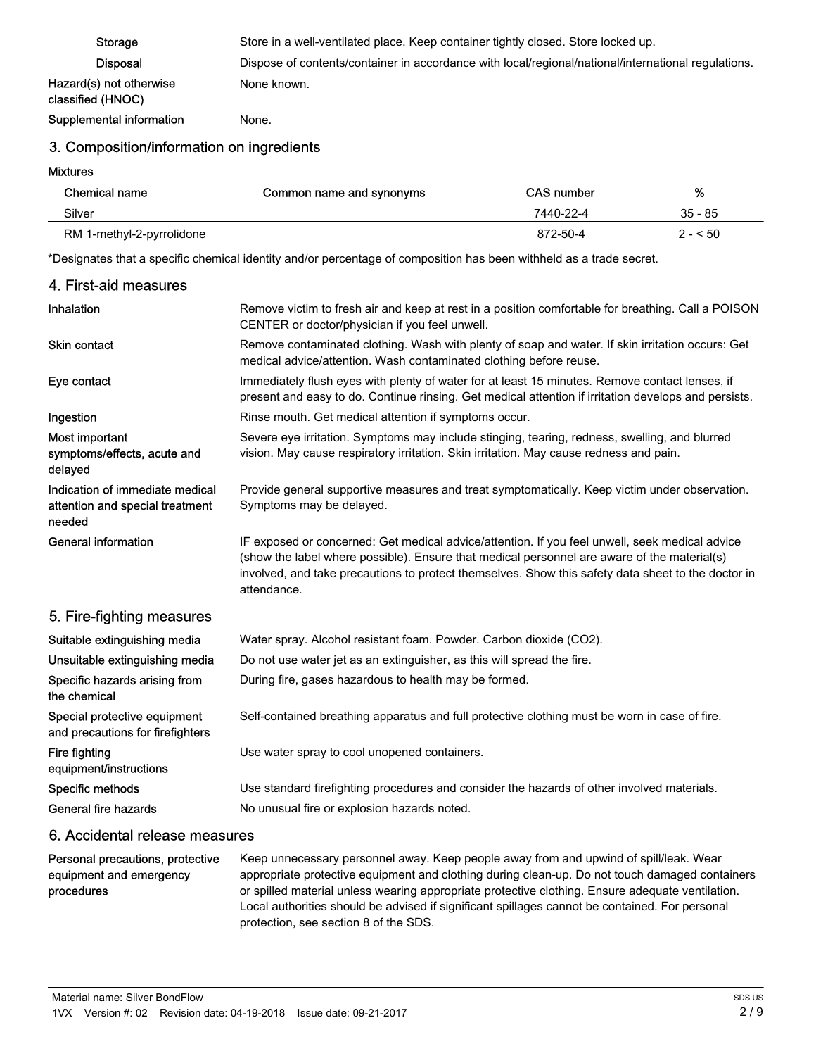| Storage                                      | Store in a well-ventilated place. Keep container tightly closed. Store locked up.                   |
|----------------------------------------------|-----------------------------------------------------------------------------------------------------|
| <b>Disposal</b>                              | Dispose of contents/container in accordance with local/regional/national/international regulations. |
| Hazard(s) not otherwise<br>classified (HNOC) | None known.                                                                                         |
| Supplemental information                     | None.                                                                                               |

## 3. Composition/information on ingredients

Mixtures

4. First-aid measures

| Chemical name             | Common name and synonyms | CAS number | %         |
|---------------------------|--------------------------|------------|-----------|
| Silver                    |                          | 7440-22-4  | $35 - 85$ |
| RM 1-methyl-2-pyrrolidone |                          | 872-50-4   | $2 - 50$  |

\*Designates that a specific chemical identity and/or percentage of composition has been withheld as a trade secret.

| 4. First-ald measures                                                        |                                                                                                                                                                                                                                                                                                                    |
|------------------------------------------------------------------------------|--------------------------------------------------------------------------------------------------------------------------------------------------------------------------------------------------------------------------------------------------------------------------------------------------------------------|
| <b>Inhalation</b>                                                            | Remove victim to fresh air and keep at rest in a position comfortable for breathing. Call a POISON<br>CENTER or doctor/physician if you feel unwell.                                                                                                                                                               |
| Skin contact                                                                 | Remove contaminated clothing. Wash with plenty of soap and water. If skin irritation occurs: Get<br>medical advice/attention. Wash contaminated clothing before reuse.                                                                                                                                             |
| Eye contact                                                                  | Immediately flush eyes with plenty of water for at least 15 minutes. Remove contact lenses, if<br>present and easy to do. Continue rinsing. Get medical attention if irritation develops and persists.                                                                                                             |
| Ingestion                                                                    | Rinse mouth. Get medical attention if symptoms occur.                                                                                                                                                                                                                                                              |
| Most important<br>symptoms/effects, acute and<br>delayed                     | Severe eye irritation. Symptoms may include stinging, tearing, redness, swelling, and blurred<br>vision. May cause respiratory irritation. Skin irritation. May cause redness and pain.                                                                                                                            |
| Indication of immediate medical<br>attention and special treatment<br>needed | Provide general supportive measures and treat symptomatically. Keep victim under observation.<br>Symptoms may be delayed.                                                                                                                                                                                          |
| General information                                                          | IF exposed or concerned: Get medical advice/attention. If you feel unwell, seek medical advice<br>(show the label where possible). Ensure that medical personnel are aware of the material(s)<br>involved, and take precautions to protect themselves. Show this safety data sheet to the doctor in<br>attendance. |
| 5. Fire-fighting measures                                                    |                                                                                                                                                                                                                                                                                                                    |
| Suitable extinguishing media                                                 | Water spray. Alcohol resistant foam. Powder. Carbon dioxide (CO2).                                                                                                                                                                                                                                                 |
| Unsuitable extinguishing media                                               | Do not use water jet as an extinguisher, as this will spread the fire.                                                                                                                                                                                                                                             |
| Specific hazards arising from<br>the chemical                                | During fire, gases hazardous to health may be formed.                                                                                                                                                                                                                                                              |
| Special protective equipment<br>and precautions for firefighters             | Self-contained breathing apparatus and full protective clothing must be worn in case of fire.                                                                                                                                                                                                                      |
| Fire fighting<br>equipment/instructions                                      | Use water spray to cool unopened containers.                                                                                                                                                                                                                                                                       |

Specific methods **Specific methods** Use standard firefighting procedures and consider the hazards of other involved materials. General fire hazards No unusual fire or explosion hazards noted.

#### 6. Accidental release measures

Keep unnecessary personnel away. Keep people away from and upwind of spill/leak. Wear appropriate protective equipment and clothing during clean-up. Do not touch damaged containers or spilled material unless wearing appropriate protective clothing. Ensure adequate ventilation. Local authorities should be advised if significant spillages cannot be contained. For personal protection, see section 8 of the SDS. Personal precautions, protective equipment and emergency procedures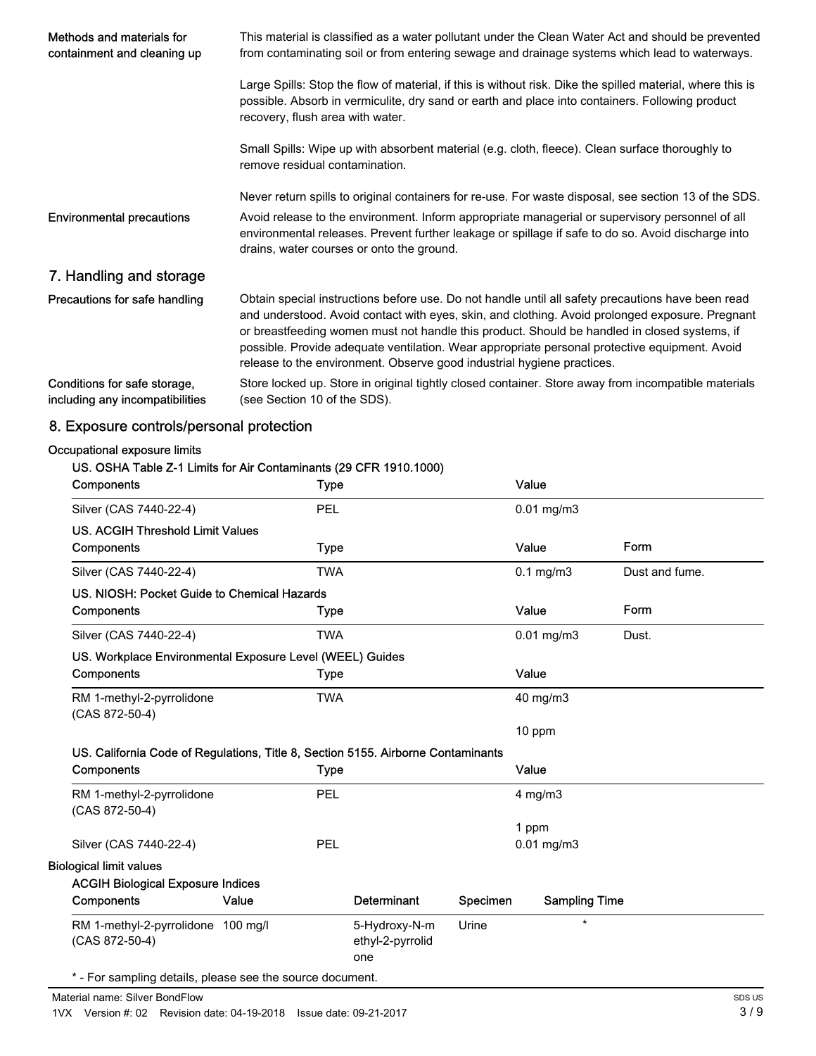| Methods and materials for<br>containment and cleaning up        | This material is classified as a water pollutant under the Clean Water Act and should be prevented<br>from contaminating soil or from entering sewage and drainage systems which lead to waterways.                                                                                                                                                                                                                                                                             |  |  |  |
|-----------------------------------------------------------------|---------------------------------------------------------------------------------------------------------------------------------------------------------------------------------------------------------------------------------------------------------------------------------------------------------------------------------------------------------------------------------------------------------------------------------------------------------------------------------|--|--|--|
|                                                                 | Large Spills: Stop the flow of material, if this is without risk. Dike the spilled material, where this is<br>possible. Absorb in vermiculite, dry sand or earth and place into containers. Following product<br>recovery, flush area with water.                                                                                                                                                                                                                               |  |  |  |
|                                                                 | Small Spills: Wipe up with absorbent material (e.g. cloth, fleece). Clean surface thoroughly to<br>remove residual contamination.                                                                                                                                                                                                                                                                                                                                               |  |  |  |
|                                                                 | Never return spills to original containers for re-use. For waste disposal, see section 13 of the SDS.                                                                                                                                                                                                                                                                                                                                                                           |  |  |  |
| <b>Environmental precautions</b>                                | Avoid release to the environment. Inform appropriate managerial or supervisory personnel of all<br>environmental releases. Prevent further leakage or spillage if safe to do so. Avoid discharge into<br>drains, water courses or onto the ground.                                                                                                                                                                                                                              |  |  |  |
| 7. Handling and storage                                         |                                                                                                                                                                                                                                                                                                                                                                                                                                                                                 |  |  |  |
| Precautions for safe handling                                   | Obtain special instructions before use. Do not handle until all safety precautions have been read<br>and understood. Avoid contact with eyes, skin, and clothing. Avoid prolonged exposure. Pregnant<br>or breastfeeding women must not handle this product. Should be handled in closed systems, if<br>possible. Provide adequate ventilation. Wear appropriate personal protective equipment. Avoid<br>release to the environment. Observe good industrial hygiene practices. |  |  |  |
| Conditions for safe storage,<br>including any incompatibilities | Store locked up. Store in original tightly closed container. Store away from incompatible materials<br>(see Section 10 of the SDS).                                                                                                                                                                                                                                                                                                                                             |  |  |  |

# 8. Exposure controls/personal protection

#### Occupational exposure limits

# US. OSHA Table Z-1 Limits for Air Contaminants (29 CFR 1910.1000)

| Components                                                                       |       | <b>Type</b> |                         |          | Value                |                |
|----------------------------------------------------------------------------------|-------|-------------|-------------------------|----------|----------------------|----------------|
| Silver (CAS 7440-22-4)                                                           |       | <b>PEL</b>  |                         |          | $0.01$ mg/m $3$      |                |
| <b>US. ACGIH Threshold Limit Values</b>                                          |       |             |                         |          |                      |                |
| Components                                                                       |       | <b>Type</b> |                         |          | Value                | Form           |
| Silver (CAS 7440-22-4)                                                           |       | <b>TWA</b>  |                         |          | $0.1$ mg/m $3$       | Dust and fume. |
| US. NIOSH: Pocket Guide to Chemical Hazards                                      |       |             |                         |          |                      |                |
| Components                                                                       |       | Type        |                         |          | Value                | Form           |
| Silver (CAS 7440-22-4)                                                           |       | <b>TWA</b>  |                         |          | $0.01$ mg/m $3$      | Dust.          |
| US. Workplace Environmental Exposure Level (WEEL) Guides                         |       |             |                         |          |                      |                |
| Components                                                                       |       | <b>Type</b> |                         |          | Value                |                |
|                                                                                  |       | <b>TWA</b>  |                         |          | 40 mg/m3             |                |
| RM 1-methyl-2-pyrrolidone<br>(CAS 872-50-4)                                      |       |             |                         |          |                      |                |
|                                                                                  |       |             |                         |          | 10 ppm               |                |
| US. California Code of Regulations, Title 8, Section 5155. Airborne Contaminants |       |             |                         |          |                      |                |
| Components                                                                       |       | <b>Type</b> |                         |          | Value                |                |
| RM 1-methyl-2-pyrrolidone<br>(CAS 872-50-4)                                      |       | <b>PEL</b>  |                         |          | $4$ mg/m $3$         |                |
|                                                                                  |       |             |                         |          | 1 ppm                |                |
| Silver (CAS 7440-22-4)                                                           |       | PEL         |                         |          | $0.01$ mg/m $3$      |                |
| <b>Biological limit values</b>                                                   |       |             |                         |          |                      |                |
| <b>ACGIH Biological Exposure Indices</b>                                         |       |             |                         |          |                      |                |
| <b>Components</b>                                                                | Value |             | Determinant             | Specimen | <b>Sampling Time</b> |                |
| RM 1-methyl-2-pyrrolidone 100 mg/l                                               |       |             | 5-Hydroxy-N-m           | Urine    | $\star$              |                |
| (CAS 872-50-4)                                                                   |       |             | ethyl-2-pyrrolid<br>one |          |                      |                |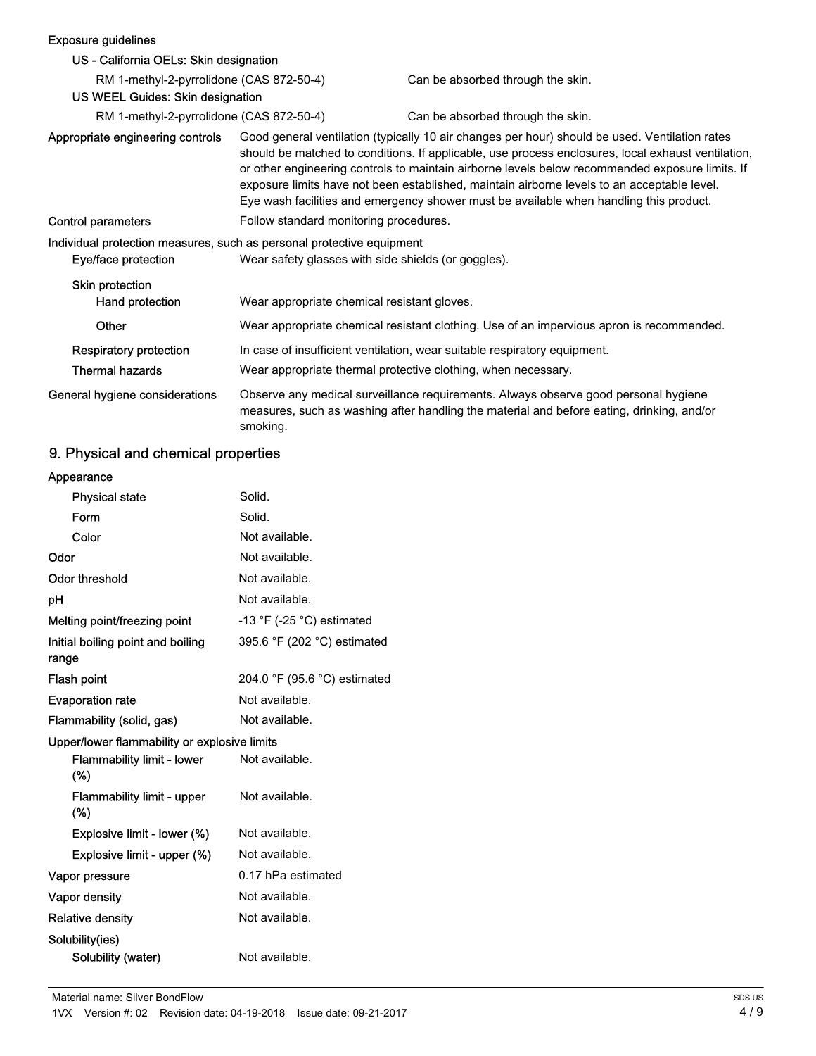## Exposure guidelines US - California OELs: Skin designation RM 1-methyl-2-pyrrolidone (CAS 872-50-4) Can be absorbed through the skin. US WEEL Guides: Skin designation RM 1-methyl-2-pyrrolidone (CAS 872-50-4) Can be absorbed through the skin. Good general ventilation (typically 10 air changes per hour) should be used. Ventilation rates should be matched to conditions. If applicable, use process enclosures, local exhaust ventilation, or other engineering controls to maintain airborne levels below recommended exposure limits. If exposure limits have not been established, maintain airborne levels to an acceptable level. Eye wash facilities and emergency shower must be available when handling this product. Appropriate engineering controls Control parameters Follow standard monitoring procedures. Individual protection measures, such as personal protective equipment Eye/face protection Wear safety glasses with side shields (or goggles). Skin protection Hand protection Wear appropriate chemical resistant gloves. Other Wear appropriate chemical resistant clothing. Use of an impervious apron is recommended. Respiratory protection In case of insufficient ventilation, wear suitable respiratory equipment. Thermal hazards Wear appropriate thermal protective clothing, when necessary. Observe any medical surveillance requirements. Always observe good personal hygiene measures, such as washing after handling the material and before eating, drinking, and/or smoking. General hygiene considerations

#### 9. Physical and chemical properties

| Appearance                                   |                                             |
|----------------------------------------------|---------------------------------------------|
| <b>Physical state</b>                        | Solid.                                      |
| Form                                         | Solid.                                      |
| Color                                        | Not available.                              |
| Odor                                         | Not available.                              |
| Odor threshold                               | Not available.                              |
| рH                                           | Not available.                              |
| Melting point/freezing point                 | -13 $\degree$ F (-25 $\degree$ C) estimated |
| Initial boiling point and boiling<br>range   | 395.6 °F (202 °C) estimated                 |
| <b>Flash point</b>                           | 204.0 °F (95.6 °C) estimated                |
| <b>Evaporation rate</b>                      | Not available.                              |
| Flammability (solid, gas)                    | Not available.                              |
| Upper/lower flammability or explosive limits |                                             |
| <b>Flammability limit - lower</b><br>$(\%)$  | Not available.                              |
| <b>Flammability limit - upper</b><br>(%)     | Not available.                              |
| Explosive limit - lower (%)                  | Not available.                              |
| Explosive limit - upper (%)                  | Not available.                              |
| Vapor pressure                               | 0.17 hPa estimated                          |
| Vapor density                                | Not available.                              |
| <b>Relative density</b>                      | Not available.                              |
| Solubility(ies)<br>Solubility (water)        | Not available.                              |
|                                              |                                             |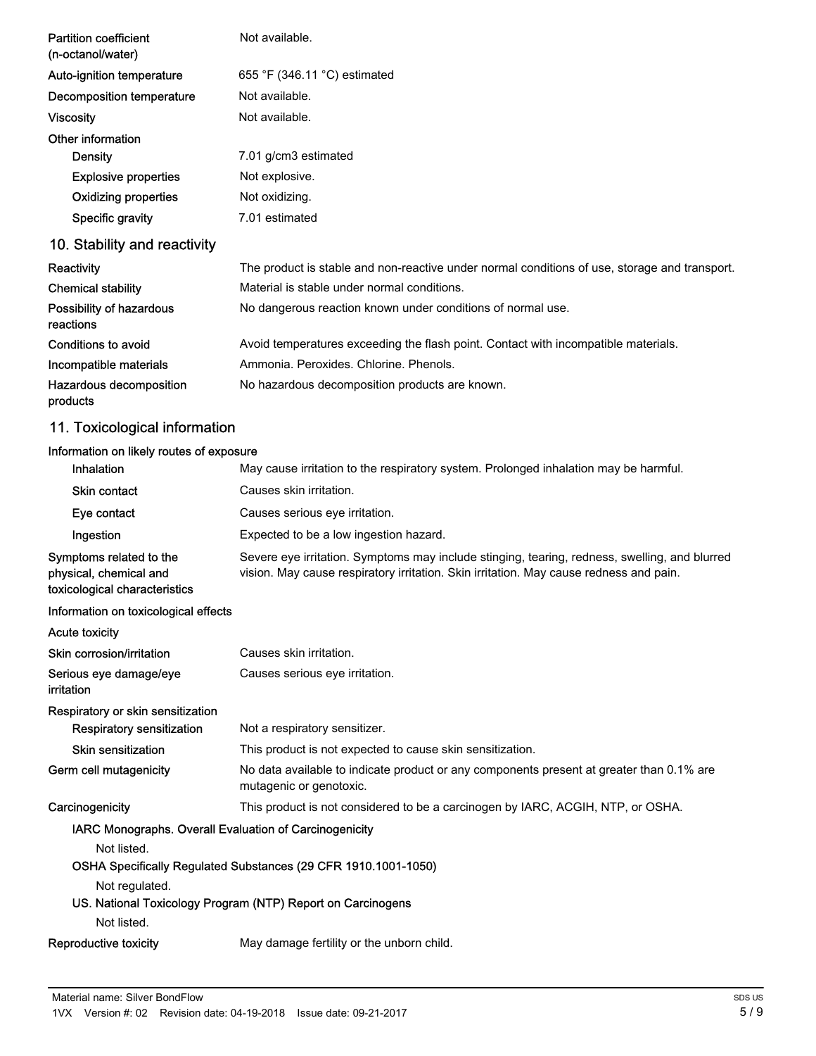| <b>Partition coefficient</b><br>(n-octanol/water) | Not available.                                                                                |
|---------------------------------------------------|-----------------------------------------------------------------------------------------------|
| Auto-ignition temperature                         | 655 °F (346.11 °C) estimated                                                                  |
| Decomposition temperature                         | Not available.                                                                                |
| <b>Viscosity</b>                                  | Not available.                                                                                |
| Other information                                 |                                                                                               |
| Density                                           | 7.01 g/cm3 estimated                                                                          |
| <b>Explosive properties</b>                       | Not explosive.                                                                                |
| <b>Oxidizing properties</b>                       | Not oxidizing.                                                                                |
| Specific gravity                                  | 7.01 estimated                                                                                |
| 10. Stability and reactivity                      |                                                                                               |
| Reactivity                                        | The product is stable and non-reactive under normal conditions of use, storage and transport. |
| <b>Chemical stability</b>                         | Material is stable under normal conditions.                                                   |
| Possibility of hazardous<br>reactions             | No dangerous reaction known under conditions of normal use.                                   |
| Conditions to avoid                               | Avoid temperatures exceeding the flash point. Contact with incompatible materials.            |
| Incompatible materials                            | Ammonia, Peroxides, Chlorine, Phenols,                                                        |
| Hazardous decomposition<br>products               | No hazardous decomposition products are known.                                                |
| 11. Toxicological information                     |                                                                                               |
| Information on likely routes of exposure          |                                                                                               |

| <b>Inhalation</b>                                                                  | May cause irritation to the respiratory system. Prolonged inhalation may be harmful.                                                                                                    |
|------------------------------------------------------------------------------------|-----------------------------------------------------------------------------------------------------------------------------------------------------------------------------------------|
| <b>Skin contact</b>                                                                | Causes skin irritation.                                                                                                                                                                 |
| Eye contact                                                                        | Causes serious eye irritation.                                                                                                                                                          |
| Ingestion                                                                          | Expected to be a low ingestion hazard.                                                                                                                                                  |
| Symptoms related to the<br>physical, chemical and<br>toxicological characteristics | Severe eye irritation. Symptoms may include stinging, tearing, redness, swelling, and blurred<br>vision. May cause respiratory irritation. Skin irritation. May cause redness and pain. |
| Information on toxicological effects                                               |                                                                                                                                                                                         |
| <b>Acute toxicity</b>                                                              |                                                                                                                                                                                         |
| Skin corrosion/irritation                                                          | Causes skin irritation.                                                                                                                                                                 |
| Serious eye damage/eye<br><b>irritation</b>                                        | Causes serious eye irritation.                                                                                                                                                          |
| Respiratory or skin sensitization                                                  |                                                                                                                                                                                         |
| <b>Respiratory sensitization</b>                                                   | Not a respiratory sensitizer.                                                                                                                                                           |
| <b>Skin sensitization</b>                                                          | This product is not expected to cause skin sensitization.                                                                                                                               |
| Germ cell mutagenicity                                                             | No data available to indicate product or any components present at greater than 0.1% are<br>mutagenic or genotoxic.                                                                     |
| Carcinogenicity                                                                    | This product is not considered to be a carcinogen by IARC, ACGIH, NTP, or OSHA.                                                                                                         |
| IARC Monographs. Overall Evaluation of Carcinogenicity                             |                                                                                                                                                                                         |
| Not listed.                                                                        |                                                                                                                                                                                         |
|                                                                                    | OSHA Specifically Regulated Substances (29 CFR 1910.1001-1050)                                                                                                                          |
| Not regulated.                                                                     |                                                                                                                                                                                         |
|                                                                                    | US. National Toxicology Program (NTP) Report on Carcinogens                                                                                                                             |
| Not listed.                                                                        |                                                                                                                                                                                         |
| Reproductive toxicity                                                              | May damage fertility or the unborn child.                                                                                                                                               |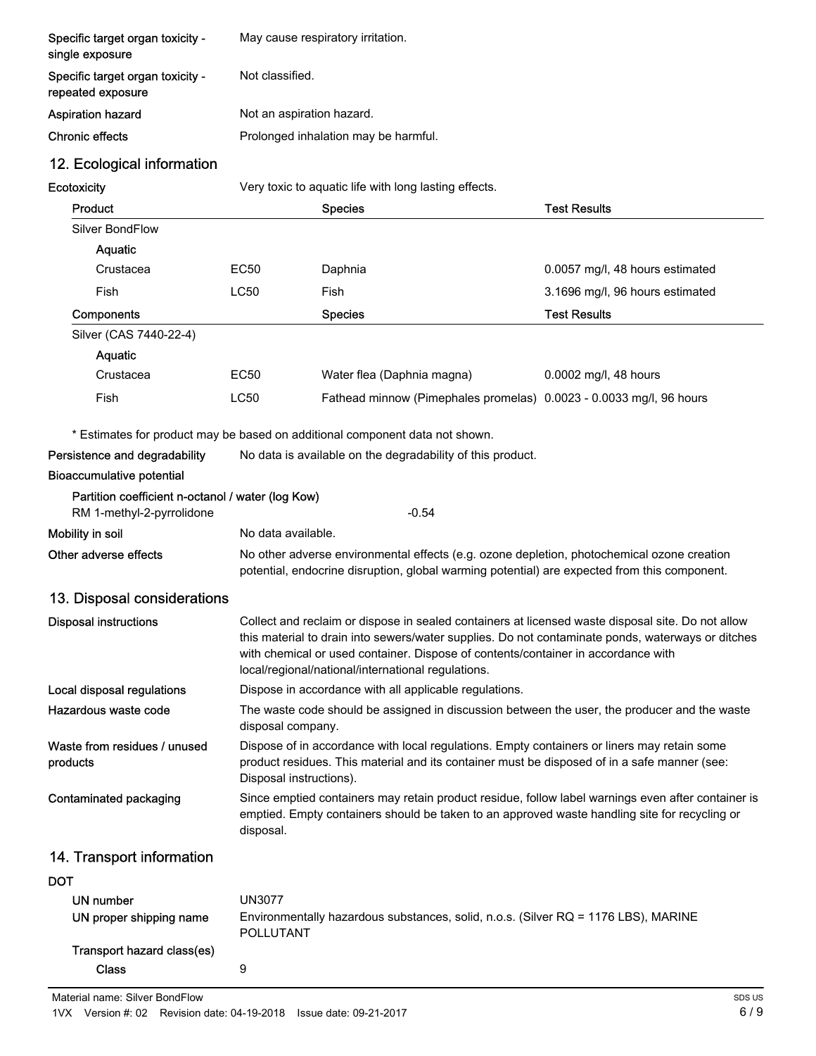| Specific target organ toxicity -<br>single exposure   | May cause respiratory irritation.                                                                                                                                                                                      |                                                                                                                                                                                                                                                                                                                                                   |                                 |  |  |  |
|-------------------------------------------------------|------------------------------------------------------------------------------------------------------------------------------------------------------------------------------------------------------------------------|---------------------------------------------------------------------------------------------------------------------------------------------------------------------------------------------------------------------------------------------------------------------------------------------------------------------------------------------------|---------------------------------|--|--|--|
| Specific target organ toxicity -<br>repeated exposure | Not classified.                                                                                                                                                                                                        |                                                                                                                                                                                                                                                                                                                                                   |                                 |  |  |  |
| Aspiration hazard                                     | Not an aspiration hazard.                                                                                                                                                                                              |                                                                                                                                                                                                                                                                                                                                                   |                                 |  |  |  |
| <b>Chronic effects</b>                                |                                                                                                                                                                                                                        | Prolonged inhalation may be harmful.                                                                                                                                                                                                                                                                                                              |                                 |  |  |  |
| 12. Ecological information                            |                                                                                                                                                                                                                        |                                                                                                                                                                                                                                                                                                                                                   |                                 |  |  |  |
| Ecotoxicity                                           |                                                                                                                                                                                                                        | Very toxic to aquatic life with long lasting effects.                                                                                                                                                                                                                                                                                             |                                 |  |  |  |
| Product                                               |                                                                                                                                                                                                                        | <b>Species</b>                                                                                                                                                                                                                                                                                                                                    | <b>Test Results</b>             |  |  |  |
| Silver BondFlow                                       |                                                                                                                                                                                                                        |                                                                                                                                                                                                                                                                                                                                                   |                                 |  |  |  |
| Aquatic                                               |                                                                                                                                                                                                                        |                                                                                                                                                                                                                                                                                                                                                   |                                 |  |  |  |
| Crustacea                                             | <b>EC50</b>                                                                                                                                                                                                            | Daphnia                                                                                                                                                                                                                                                                                                                                           | 0.0057 mg/l, 48 hours estimated |  |  |  |
| Fish                                                  | <b>LC50</b>                                                                                                                                                                                                            | Fish                                                                                                                                                                                                                                                                                                                                              | 3.1696 mg/l, 96 hours estimated |  |  |  |
| Components                                            |                                                                                                                                                                                                                        | <b>Species</b>                                                                                                                                                                                                                                                                                                                                    | <b>Test Results</b>             |  |  |  |
| Silver (CAS 7440-22-4)                                |                                                                                                                                                                                                                        |                                                                                                                                                                                                                                                                                                                                                   |                                 |  |  |  |
| Aquatic                                               |                                                                                                                                                                                                                        |                                                                                                                                                                                                                                                                                                                                                   |                                 |  |  |  |
| Crustacea                                             | <b>EC50</b>                                                                                                                                                                                                            | Water flea (Daphnia magna)                                                                                                                                                                                                                                                                                                                        | 0.0002 mg/l, 48 hours           |  |  |  |
| Fish                                                  | <b>LC50</b>                                                                                                                                                                                                            | Fathead minnow (Pimephales promelas) 0.0023 - 0.0033 mg/l, 96 hours                                                                                                                                                                                                                                                                               |                                 |  |  |  |
|                                                       |                                                                                                                                                                                                                        | * Estimates for product may be based on additional component data not shown.                                                                                                                                                                                                                                                                      |                                 |  |  |  |
| Persistence and degradability                         |                                                                                                                                                                                                                        | No data is available on the degradability of this product.                                                                                                                                                                                                                                                                                        |                                 |  |  |  |
| <b>Bioaccumulative potential</b>                      |                                                                                                                                                                                                                        |                                                                                                                                                                                                                                                                                                                                                   |                                 |  |  |  |
| Partition coefficient n-octanol / water (log Kow)     |                                                                                                                                                                                                                        |                                                                                                                                                                                                                                                                                                                                                   |                                 |  |  |  |
| RM 1-methyl-2-pyrrolidone                             |                                                                                                                                                                                                                        | $-0.54$                                                                                                                                                                                                                                                                                                                                           |                                 |  |  |  |
| Mobility in soil                                      | No data available.                                                                                                                                                                                                     |                                                                                                                                                                                                                                                                                                                                                   |                                 |  |  |  |
| Other adverse effects                                 |                                                                                                                                                                                                                        | No other adverse environmental effects (e.g. ozone depletion, photochemical ozone creation<br>potential, endocrine disruption, global warming potential) are expected from this component.                                                                                                                                                        |                                 |  |  |  |
| 13. Disposal considerations                           |                                                                                                                                                                                                                        |                                                                                                                                                                                                                                                                                                                                                   |                                 |  |  |  |
| <b>Disposal instructions</b>                          |                                                                                                                                                                                                                        | Collect and reclaim or dispose in sealed containers at licensed waste disposal site. Do not allow<br>this material to drain into sewers/water supplies. Do not contaminate ponds, waterways or ditches<br>with chemical or used container. Dispose of contents/container in accordance with<br>local/regional/national/international regulations. |                                 |  |  |  |
| Local disposal regulations                            | Dispose in accordance with all applicable regulations.                                                                                                                                                                 |                                                                                                                                                                                                                                                                                                                                                   |                                 |  |  |  |
| Hazardous waste code                                  | The waste code should be assigned in discussion between the user, the producer and the waste<br>disposal company.                                                                                                      |                                                                                                                                                                                                                                                                                                                                                   |                                 |  |  |  |
| Waste from residues / unused<br>products              | Dispose of in accordance with local regulations. Empty containers or liners may retain some<br>product residues. This material and its container must be disposed of in a safe manner (see:<br>Disposal instructions). |                                                                                                                                                                                                                                                                                                                                                   |                                 |  |  |  |
| Contaminated packaging                                | Since emptied containers may retain product residue, follow label warnings even after container is<br>emptied. Empty containers should be taken to an approved waste handling site for recycling or<br>disposal.       |                                                                                                                                                                                                                                                                                                                                                   |                                 |  |  |  |
| 14. Transport information                             |                                                                                                                                                                                                                        |                                                                                                                                                                                                                                                                                                                                                   |                                 |  |  |  |
| <b>DOT</b>                                            |                                                                                                                                                                                                                        |                                                                                                                                                                                                                                                                                                                                                   |                                 |  |  |  |
| UN number                                             | <b>UN3077</b>                                                                                                                                                                                                          |                                                                                                                                                                                                                                                                                                                                                   |                                 |  |  |  |
| UN proper shipping name                               | <b>POLLUTANT</b>                                                                                                                                                                                                       | Environmentally hazardous substances, solid, n.o.s. (Silver RQ = 1176 LBS), MARINE                                                                                                                                                                                                                                                                |                                 |  |  |  |
| Transport hazard class(es)                            |                                                                                                                                                                                                                        |                                                                                                                                                                                                                                                                                                                                                   |                                 |  |  |  |
| <b>Class</b>                                          | 9                                                                                                                                                                                                                      |                                                                                                                                                                                                                                                                                                                                                   |                                 |  |  |  |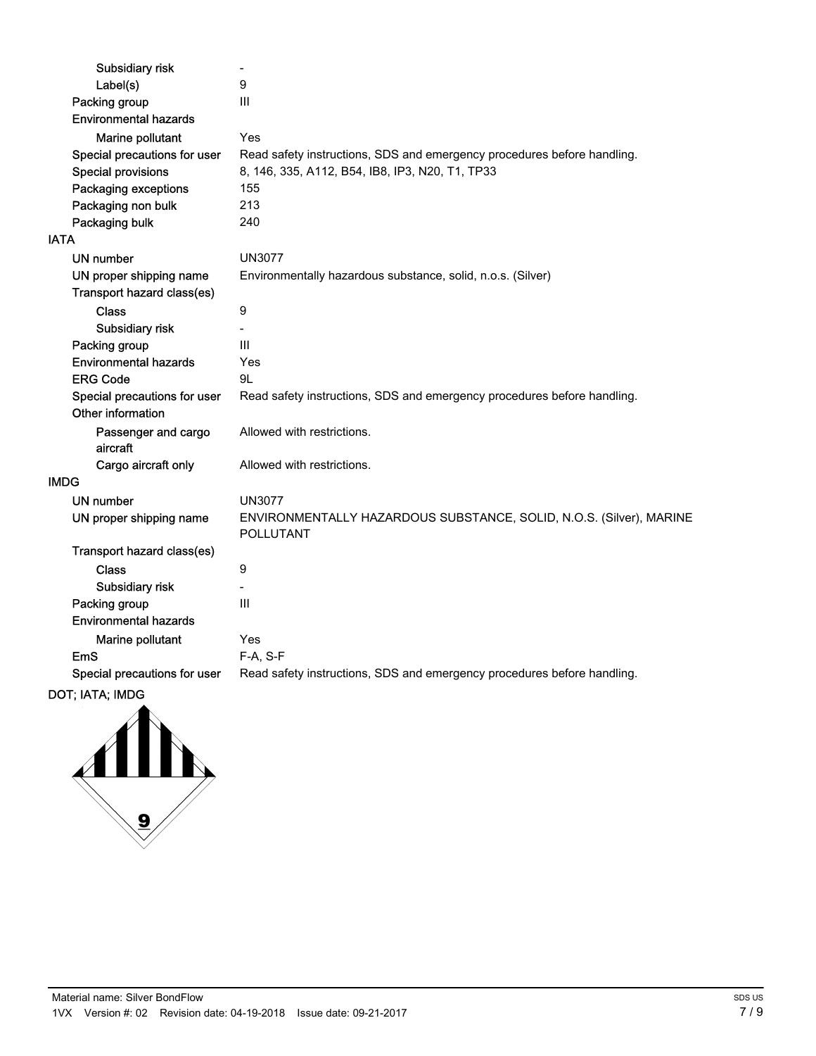| Subsidiary risk                 | $\blacksquare$                                                                          |
|---------------------------------|-----------------------------------------------------------------------------------------|
| Label(s)                        | 9                                                                                       |
| Packing group                   | III                                                                                     |
| <b>Environmental hazards</b>    |                                                                                         |
| Marine pollutant                | Yes                                                                                     |
| Special precautions for user    | Read safety instructions, SDS and emergency procedures before handling.                 |
| <b>Special provisions</b>       | 8, 146, 335, A112, B54, IB8, IP3, N20, T1, TP33                                         |
| Packaging exceptions            | 155                                                                                     |
| Packaging non bulk              | 213                                                                                     |
| Packaging bulk                  | 240                                                                                     |
| <b>IATA</b>                     |                                                                                         |
| UN number                       | <b>UN3077</b>                                                                           |
| UN proper shipping name         | Environmentally hazardous substance, solid, n.o.s. (Silver)                             |
| Transport hazard class(es)      |                                                                                         |
| <b>Class</b>                    | $\boldsymbol{9}$                                                                        |
| Subsidiary risk                 |                                                                                         |
| Packing group                   | III                                                                                     |
| <b>Environmental hazards</b>    | Yes                                                                                     |
| <b>ERG Code</b>                 | 9L                                                                                      |
| Special precautions for user    | Read safety instructions, SDS and emergency procedures before handling.                 |
| Other information               |                                                                                         |
| Passenger and cargo<br>aircraft | Allowed with restrictions.                                                              |
| Cargo aircraft only             | Allowed with restrictions.                                                              |
| <b>IMDG</b>                     |                                                                                         |
| <b>UN number</b>                | <b>UN3077</b>                                                                           |
| UN proper shipping name         | ENVIRONMENTALLY HAZARDOUS SUBSTANCE, SOLID, N.O.S. (Silver), MARINE<br><b>POLLUTANT</b> |
| Transport hazard class(es)      |                                                                                         |
| Class                           | 9                                                                                       |
| Subsidiary risk                 |                                                                                         |
| Packing group                   | Ш                                                                                       |
| <b>Environmental hazards</b>    |                                                                                         |
| Marine pollutant                | Yes                                                                                     |
| <b>EmS</b>                      | F-A, S-F                                                                                |
| Special precautions for user    | Read safety instructions, SDS and emergency procedures before handling.                 |
|                                 |                                                                                         |

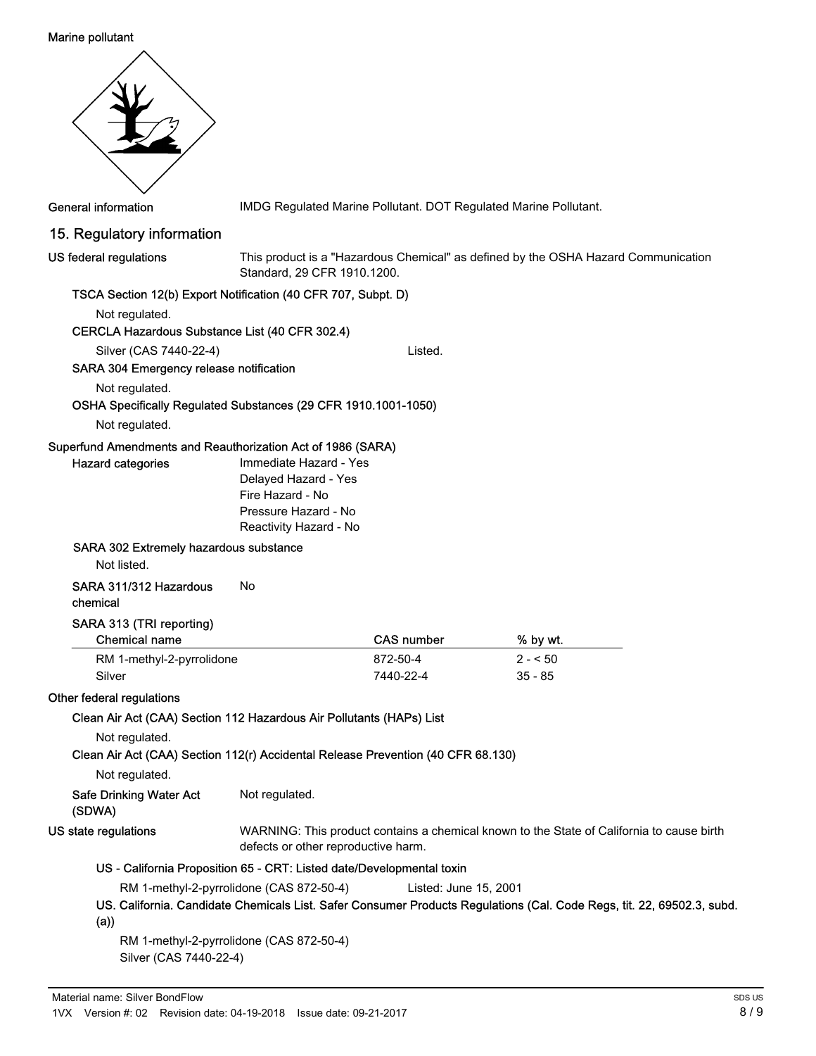#### Marine pollutant

| <b>General information</b>                                                              |                                                                                                                      |                       | IMDG Regulated Marine Pollutant. DOT Regulated Marine Pollutant.                                                       |  |
|-----------------------------------------------------------------------------------------|----------------------------------------------------------------------------------------------------------------------|-----------------------|------------------------------------------------------------------------------------------------------------------------|--|
| 15. Regulatory information                                                              |                                                                                                                      |                       |                                                                                                                        |  |
| US federal regulations                                                                  | Standard, 29 CFR 1910.1200.                                                                                          |                       | This product is a "Hazardous Chemical" as defined by the OSHA Hazard Communication                                     |  |
| TSCA Section 12(b) Export Notification (40 CFR 707, Subpt. D)                           |                                                                                                                      |                       |                                                                                                                        |  |
| Not regulated.<br>CERCLA Hazardous Substance List (40 CFR 302.4)                        |                                                                                                                      |                       |                                                                                                                        |  |
| Silver (CAS 7440-22-4)                                                                  |                                                                                                                      | Listed.               |                                                                                                                        |  |
| SARA 304 Emergency release notification                                                 |                                                                                                                      |                       |                                                                                                                        |  |
| Not regulated.<br>OSHA Specifically Regulated Substances (29 CFR 1910.1001-1050)        |                                                                                                                      |                       |                                                                                                                        |  |
| Not regulated.                                                                          |                                                                                                                      |                       |                                                                                                                        |  |
| Superfund Amendments and Reauthorization Act of 1986 (SARA)<br><b>Hazard categories</b> | Immediate Hazard - Yes<br>Delayed Hazard - Yes<br>Fire Hazard - No<br>Pressure Hazard - No<br>Reactivity Hazard - No |                       |                                                                                                                        |  |
| SARA 302 Extremely hazardous substance<br>Not listed.                                   |                                                                                                                      |                       |                                                                                                                        |  |
| SARA 311/312 Hazardous<br>chemical                                                      | No                                                                                                                   |                       |                                                                                                                        |  |
| SARA 313 (TRI reporting)<br><b>Chemical name</b>                                        |                                                                                                                      | <b>CAS number</b>     | % by wt.                                                                                                               |  |
| RM 1-methyl-2-pyrrolidone                                                               |                                                                                                                      | 872-50-4              | $2 - 50$                                                                                                               |  |
| Silver                                                                                  |                                                                                                                      | 7440-22-4             | $35 - 85$                                                                                                              |  |
| Other federal regulations                                                               |                                                                                                                      |                       |                                                                                                                        |  |
| Clean Air Act (CAA) Section 112 Hazardous Air Pollutants (HAPs) List                    |                                                                                                                      |                       |                                                                                                                        |  |
| Not regulated.                                                                          |                                                                                                                      |                       |                                                                                                                        |  |
| Clean Air Act (CAA) Section 112(r) Accidental Release Prevention (40 CFR 68.130)        |                                                                                                                      |                       |                                                                                                                        |  |
| Not regulated.                                                                          |                                                                                                                      |                       |                                                                                                                        |  |
| <b>Safe Drinking Water Act</b><br>(SDWA)                                                | Not regulated.                                                                                                       |                       |                                                                                                                        |  |
| US state regulations                                                                    | defects or other reproductive harm.                                                                                  |                       | WARNING: This product contains a chemical known to the State of California to cause birth                              |  |
| US - California Proposition 65 - CRT: Listed date/Developmental toxin                   |                                                                                                                      |                       |                                                                                                                        |  |
|                                                                                         | RM 1-methyl-2-pyrrolidone (CAS 872-50-4)                                                                             | Listed: June 15, 2001 |                                                                                                                        |  |
| (a))                                                                                    |                                                                                                                      |                       | US. California. Candidate Chemicals List. Safer Consumer Products Regulations (Cal. Code Regs, tit. 22, 69502.3, subd. |  |
| Silver (CAS 7440-22-4)                                                                  | RM 1-methyl-2-pyrrolidone (CAS 872-50-4)                                                                             |                       |                                                                                                                        |  |